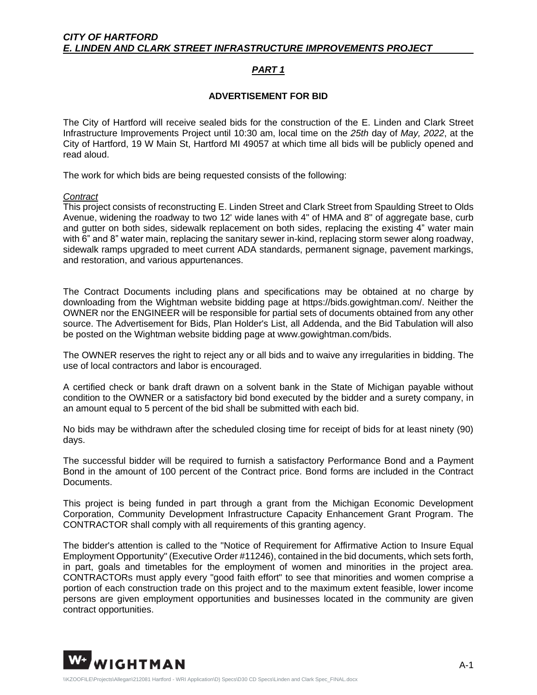## *PART 1*

## **ADVERTISEMENT FOR BID**

The City of Hartford will receive sealed bids for the construction of the E. Linden and Clark Street Infrastructure Improvements Project until 10:30 am, local time on the *25th* day of *May, 2022*, at the City of Hartford, 19 W Main St, Hartford MI 49057 at which time all bids will be publicly opened and read aloud.

The work for which bids are being requested consists of the following:

## *Contract*

This project consists of reconstructing E. Linden Street and Clark Street from Spaulding Street to Olds Avenue, widening the roadway to two 12' wide lanes with 4" of HMA and 8" of aggregate base, curb and gutter on both sides, sidewalk replacement on both sides, replacing the existing 4" water main with 6" and 8" water main, replacing the sanitary sewer in-kind, replacing storm sewer along roadway, sidewalk ramps upgraded to meet current ADA standards, permanent signage, pavement markings, and restoration, and various appurtenances.

The Contract Documents including plans and specifications may be obtained at no charge by downloading from the Wightman website bidding page at https://bids.gowightman.com/. Neither the OWNER nor the ENGINEER will be responsible for partial sets of documents obtained from any other source. The Advertisement for Bids, Plan Holder's List, all Addenda, and the Bid Tabulation will also be posted on the Wightman website bidding page at www.gowightman.com/bids.

The OWNER reserves the right to reject any or all bids and to waive any irregularities in bidding. The use of local contractors and labor is encouraged.

A certified check or bank draft drawn on a solvent bank in the State of Michigan payable without condition to the OWNER or a satisfactory bid bond executed by the bidder and a surety company, in an amount equal to 5 percent of the bid shall be submitted with each bid.

No bids may be withdrawn after the scheduled closing time for receipt of bids for at least ninety (90) days.

The successful bidder will be required to furnish a satisfactory Performance Bond and a Payment Bond in the amount of 100 percent of the Contract price. Bond forms are included in the Contract Documents.

This project is being funded in part through a grant from the Michigan Economic Development Corporation, Community Development Infrastructure Capacity Enhancement Grant Program. The CONTRACTOR shall comply with all requirements of this granting agency.

The bidder's attention is called to the "Notice of Requirement for Affirmative Action to Insure Equal Employment Opportunity" (Executive Order #11246), contained in the bid documents, which sets forth, in part, goals and timetables for the employment of women and minorities in the project area. CONTRACTORs must apply every "good faith effort" to see that minorities and women comprise a portion of each construction trade on this project and to the maximum extent feasible, lower income persons are given employment opportunities and businesses located in the community are given contract opportunities.